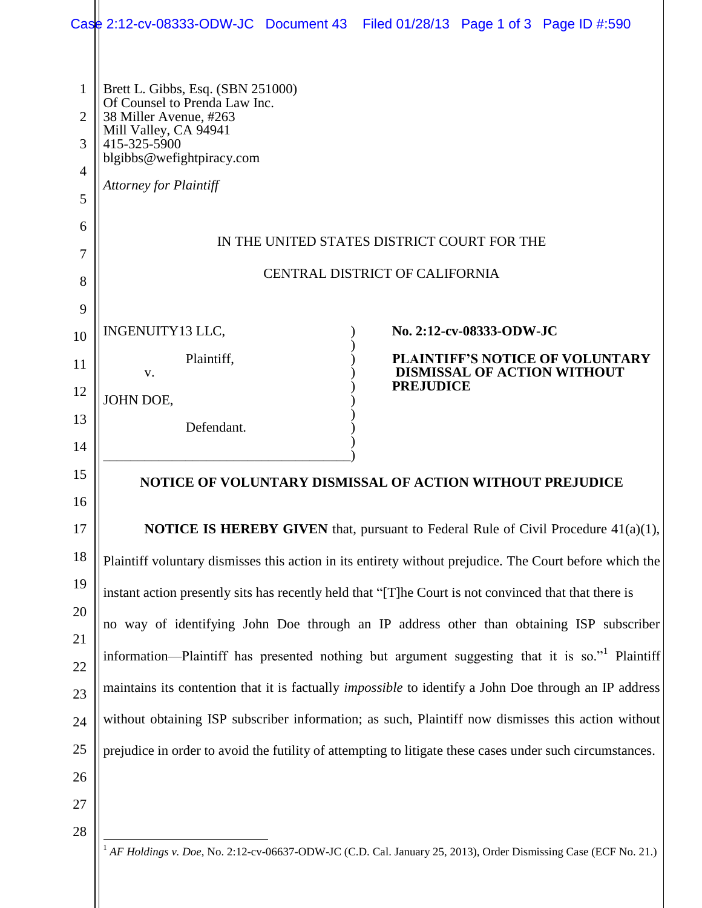|                |                                                                                               | Case 2:12-cv-08333-ODW-JC Document 43 Filed 01/28/13 Page 1 of 3 Page ID #:590                               |  |
|----------------|-----------------------------------------------------------------------------------------------|--------------------------------------------------------------------------------------------------------------|--|
|                |                                                                                               |                                                                                                              |  |
| $\mathbf{1}$   | Brett L. Gibbs, Esq. (SBN 251000)                                                             |                                                                                                              |  |
| $\overline{2}$ | Of Counsel to Prenda Law Inc.<br>38 Miller Avenue, #263                                       |                                                                                                              |  |
| 3              | Mill Valley, CA 94941<br>415-325-5900                                                         |                                                                                                              |  |
| 4              | blgibbs@wefightpiracy.com                                                                     |                                                                                                              |  |
| 5              | <b>Attorney for Plaintiff</b>                                                                 |                                                                                                              |  |
| 6              |                                                                                               |                                                                                                              |  |
| 7              | IN THE UNITED STATES DISTRICT COURT FOR THE                                                   |                                                                                                              |  |
| 8              | CENTRAL DISTRICT OF CALIFORNIA                                                                |                                                                                                              |  |
| 9              |                                                                                               |                                                                                                              |  |
| 10             | INGENUITY13 LLC,                                                                              | No. 2:12-cv-08333-ODW-JC                                                                                     |  |
| 11             | Plaintiff,<br>V.                                                                              | PLAINTIFF'S NOTICE OF VOLUNTARY<br><b>DISMISSAL OF ACTION WITHOUT</b>                                        |  |
| 12             | JOHN DOE,                                                                                     | <b>PREJUDICE</b>                                                                                             |  |
| 13             | Defendant.                                                                                    |                                                                                                              |  |
| 14             |                                                                                               |                                                                                                              |  |
| 15             |                                                                                               | NOTICE OF VOLUNTARY DISMISSAL OF ACTION WITHOUT PREJUDICE                                                    |  |
| 16             |                                                                                               |                                                                                                              |  |
| 17             | <b>NOTICE IS HEREBY GIVEN</b> that, pursuant to Federal Rule of Civil Procedure 41(a)(1),     |                                                                                                              |  |
| 18             |                                                                                               | Plaintiff voluntary dismisses this action in its entirety without prejudice. The Court before which the      |  |
| 19             |                                                                                               | instant action presently sits has recently held that "[T]he Court is not convinced that that there is        |  |
| 20             | no way of identifying John Doe through an IP address other than obtaining ISP subscriber      |                                                                                                              |  |
| 21             |                                                                                               |                                                                                                              |  |
| 22             | information—Plaintiff has presented nothing but argument suggesting that it is so." Plaintiff |                                                                                                              |  |
| 23             |                                                                                               | maintains its contention that it is factually <i>impossible</i> to identify a John Doe through an IP address |  |
| 24             |                                                                                               | without obtaining ISP subscriber information; as such, Plaintiff now dismisses this action without           |  |
| 25             |                                                                                               | prejudice in order to avoid the futility of attempting to litigate these cases under such circumstances.     |  |
| 26             |                                                                                               |                                                                                                              |  |
| 27             |                                                                                               |                                                                                                              |  |
| 28             |                                                                                               |                                                                                                              |  |

<sup>1</sup> *AF Holdings v. Doe*, No. 2:12-cv-06637-ODW-JC (C.D. Cal. January 25, 2013), Order Dismissing Case (ECF No. 21.)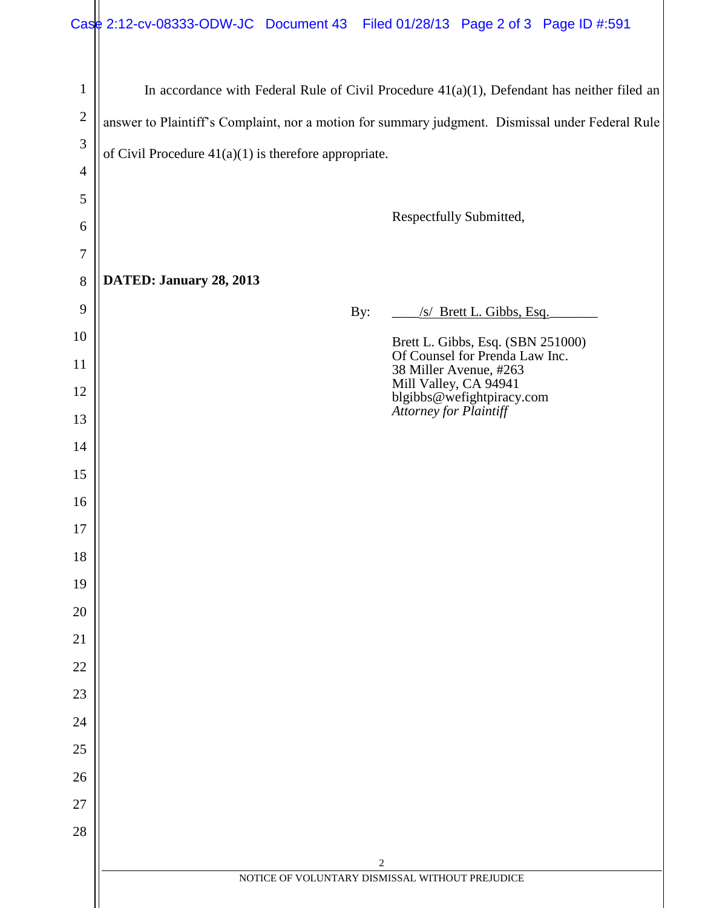|                | Case 2:12-cv-08333-ODW-JC Document 43 Filed 01/28/13 Page 2 of 3 Page ID #:591                   |  |  |
|----------------|--------------------------------------------------------------------------------------------------|--|--|
| $\mathbf{1}$   | In accordance with Federal Rule of Civil Procedure $41(a)(1)$ , Defendant has neither filed an   |  |  |
| $\overline{2}$ | answer to Plaintiff's Complaint, nor a motion for summary judgment. Dismissal under Federal Rule |  |  |
| 3              | of Civil Procedure $41(a)(1)$ is therefore appropriate.                                          |  |  |
| $\overline{4}$ |                                                                                                  |  |  |
| 5              | Respectfully Submitted,                                                                          |  |  |
| 6              |                                                                                                  |  |  |
| 7              |                                                                                                  |  |  |
| 8              | DATED: January 28, 2013                                                                          |  |  |
| 9              | /s/ Brett L. Gibbs, Esq.<br>By:                                                                  |  |  |
| 10             | Brett L. Gibbs, Esq. (SBN 251000)<br>Of Counsel for Prenda Law Inc.                              |  |  |
| 11             | 38 Miller Avenue, #263<br>Mill Valley, CA 94941                                                  |  |  |
| 12<br>13       | blgibbs@wefightpiracy.com<br>Attorney for Plaintiff                                              |  |  |
| 14             |                                                                                                  |  |  |
| 15             |                                                                                                  |  |  |
| 16             |                                                                                                  |  |  |
| 17             |                                                                                                  |  |  |
| 18             |                                                                                                  |  |  |
| 19             |                                                                                                  |  |  |
| 20             |                                                                                                  |  |  |
| 21             |                                                                                                  |  |  |
| 22             |                                                                                                  |  |  |
| 23             |                                                                                                  |  |  |
| 24             |                                                                                                  |  |  |
| 25             |                                                                                                  |  |  |
| 26             |                                                                                                  |  |  |
| 27             |                                                                                                  |  |  |
| 28             |                                                                                                  |  |  |
|                | $\overline{c}$<br>NOTICE OF VOLUNTARY DISMISSAL WITHOUT PREJUDICE                                |  |  |
|                |                                                                                                  |  |  |